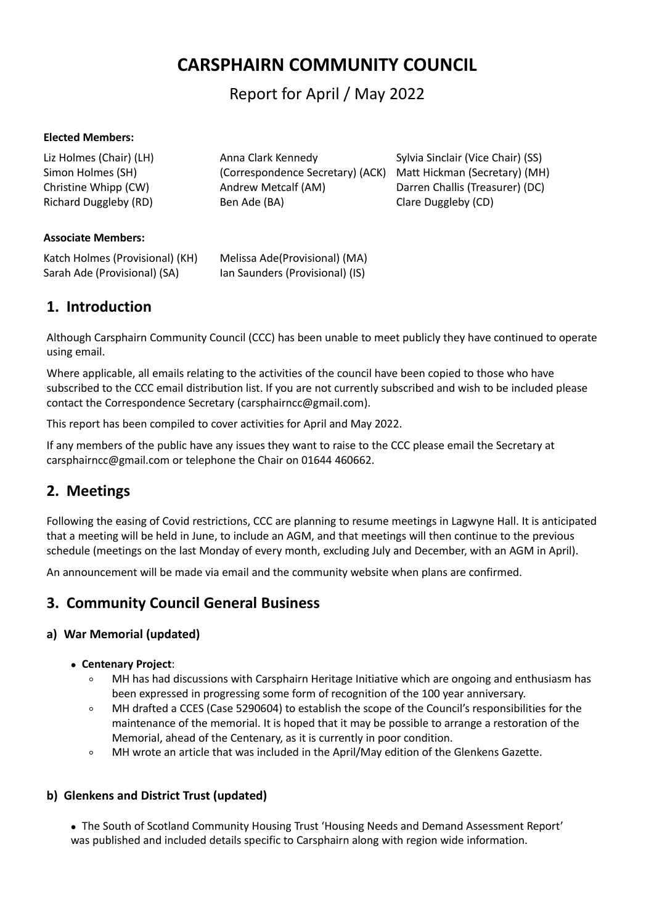# **CARSPHAIRN COMMUNITY COUNCIL**

Report for April / May 2022

#### **Elected Members:**

| Liz Holmes (Chair) (LH) | Anna Clark Kennedy               | Sylvia Sinclair (Vice Chair) (SS) |
|-------------------------|----------------------------------|-----------------------------------|
| Simon Holmes (SH)       | (Correspondence Secretary) (ACK) | Matt Hickman (Secretary) (MH)     |
| Christine Whipp (CW)    | Andrew Metcalf (AM)              | Darren Challis (Treasurer) (DC)   |
| Richard Duggleby (RD)   | Ben Ade (BA)                     | Clare Duggleby (CD)               |

#### **Associate Members:**

| Katch Holmes (Provisional) (KH) | Melissa Ade(Provisional) (MA)   |
|---------------------------------|---------------------------------|
| Sarah Ade (Provisional) (SA)    | lan Saunders (Provisional) (IS) |

## **1. Introduction**

Although Carsphairn Community Council (CCC) has been unable to meet publicly they have continued to operate using email.

Where applicable, all emails relating to the activities of the council have been copied to those who have subscribed to the CCC email distribution list. If you are not currently subscribed and wish to be included please contact the Correspondence Secretary [\(carsphairncc@gmail.com](mailto:carsphairncc@gmail.com)).

This report has been compiled to cover activities for April and May 2022.

If any members of the public have any issues they want to raise to the CCC please email the Secretary at [carsphairncc@gmail.com](mailto:carsphairncc@gmail.com) or telephone the Chair on 01644 460662.

## **2. Meetings**

Following the easing of Covid restrictions, CCC are planning to resume meetings in Lagwyne Hall. It is anticipated that a meeting will be held in June, to include an AGM, and that meetings will then continue to the previous schedule (meetings on the last Monday of every month, excluding July and December, with an AGM in April).

An announcement will be made via email and the community website when plans are confirmed.

## **3. Community Council General Business**

### **a) War Memorial (updated)**

- **Centenary Project**:
	- MH has had discussions with Carsphairn Heritage Initiative which are ongoing and enthusiasm has been expressed in progressing some form of recognition of the 100 year anniversary.
	- MH drafted a CCES (Case 5290604) to establish the scope of the Council's responsibilities for the maintenance of the memorial. It is hoped that it may be possible to arrange a restoration of the Memorial, ahead of the Centenary, as it is currently in poor condition.
	- MH wrote an article that was included in the April/May edition of the Glenkens Gazette.

### **b) Glenkens and District Trust (updated)**

 The South of Scotland Community Housing Trust 'Housing Needs and Demand Assessment Report' was published and included details specific to Carsphairn along with region wide information.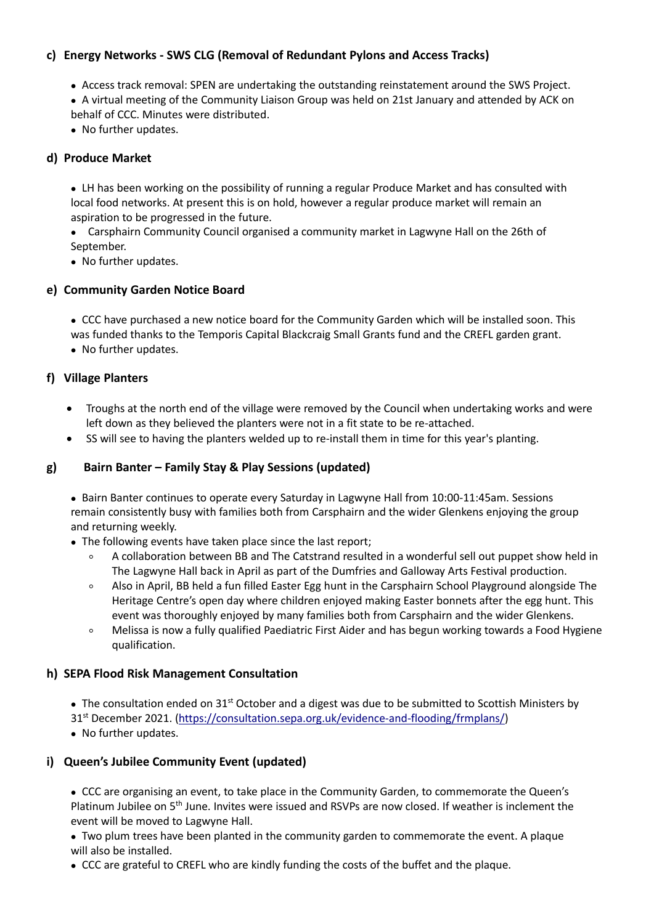### **c) Energy Networks - SWS CLG (Removal of Redundant Pylons and Access Tracks)**

- Access track removal: SPEN are undertaking the outstanding reinstatement around the SWS Project.
- A virtual meeting of the Community Liaison Group was held on 21st January and attended by ACK on behalf of CCC. Minutes were distributed.
- No further updates.

#### **d) Produce Market**

 LH has been working on the possibility of running a regular Produce Market and has consulted with local food networks. At present this is on hold, however a regular produce market will remain an aspiration to be progressed in the future.

 Carsphairn Community Council organised a community market in Lagwyne Hall on the 26th of September.

• No further updates.

#### **e) Community Garden Notice Board**

 CCC have purchased a new notice board for the Community Garden which will be installed soon. This was funded thanks to the Temporis Capital Blackcraig Small Grants fund and the CREFL garden grant. • No further updates.

#### **f) Village Planters**

- Troughs at the north end of the village were removed by the Council when undertaking works and were left down as they believed the planters were not in a fit state to be re-attached.
- SS will see to having the planters welded up to re-install them in time for this year's planting.

#### **g) Bairn Banter – Family Stay & Play Sessions (updated)**

• Bairn Banter continues to operate every Saturday in Lagwyne Hall from 10:00-11:45am. Sessions remain consistently busy with families both from Carsphairn and the wider Glenkens enjoying the group and returning weekly.

- The following events have taken place since the last report;
	- A collaboration between BB and The Catstrand resulted in a wonderful sell out puppet show held in The Lagwyne Hall back in April as part of the Dumfries and Galloway Arts Festival production.
	- Also in April, BB held a fun filled Easter Egg hunt in the Carsphairn School Playground alongside The Heritage Centre's open day where children enjoyed making Easter bonnets after the egg hunt. This event was thoroughly enjoyed by many families both from Carsphairn and the wider Glenkens.
	- Melissa is now a fully qualified Paediatric First Aider and has begun working towards a Food Hygiene qualification.

#### **h) SEPA Flood Risk Management Consultation**

• The consultation ended on 31<sup>st</sup> October and a digest was due to be submitted to Scottish Ministers by 31 st December 2021. ([https://consultation.sepa.org.uk/evidence-and-flooding/frmplans/\)](https://consultation.sepa.org.uk/evidence-and-flooding/frmplans/)

• No further updates.

### **i) Queen's Jubilee Community Event (updated)**

 CCC are organising an event, to take place in the Community Garden, to commemorate the Queen's Platinum Jubilee on 5<sup>th</sup> June. Invites were issued and RSVPs are now closed. If weather is inclement the event will be moved to Lagwyne Hall.

 Two plum trees have been planted in the community garden to commemorate the event. A plaque will also be installed.

CCC are grateful to CREFL who are kindly funding the costs of the buffet and the plaque.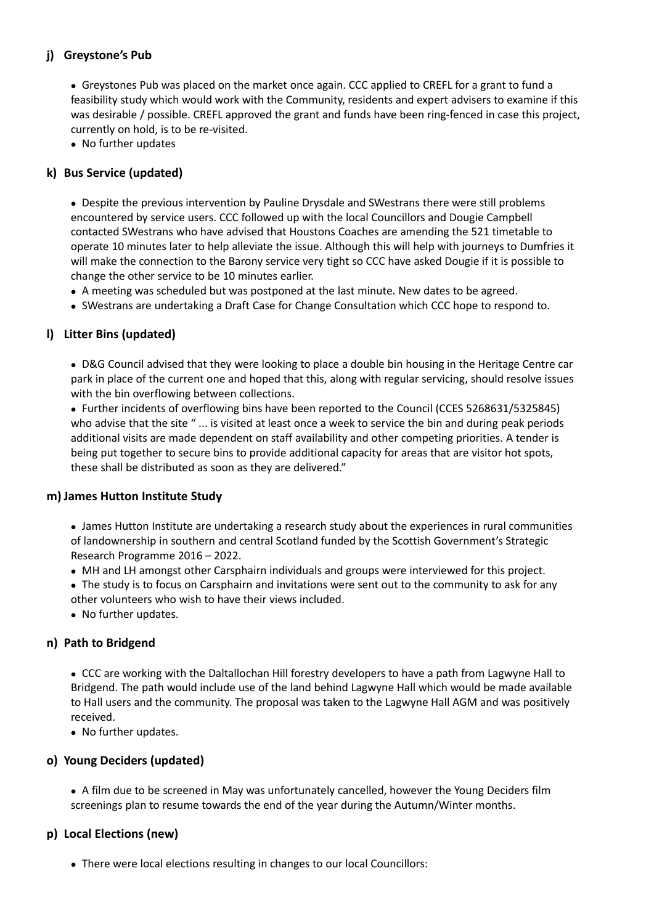### **j) Greystone's Pub**

• Greystones Pub was placed on the market once again. CCC applied to CREFL for a grant to fund a feasibility study which would work with the Community, residents and expert advisers to examine if this was desirable / possible. CREFL approved the grant and funds have been ring-fenced in case this project, currently on hold, is to be re-visited.

• No further updates

### **k) Bus Service (updated)**

 Despite the previous intervention by Pauline Drysdale and SWestrans there were still problems encountered by service users. CCC followed up with the local Councillors and Dougie Campbell contacted SWestrans who have advised that Houstons Coaches are amending the 521 timetable to operate 10 minutes later to help alleviate the issue. Although this will help with journeys to Dumfries it will make the connection to the Barony service very tight so CCC have asked Dougie if it is possible to change the other service to be 10 minutes earlier.

- A meeting was scheduled but was postponed at the last minute. New dates to be agreed.
- SWestrans are undertaking a Draft Case for Change Consultation which CCC hope to respond to.

### **l) Litter Bins (updated)**

 D&G Council advised that they were looking to place a double bin housing in the Heritage Centre car park in place of the current one and hoped that this, along with regular servicing, should resolve issues with the bin overflowing between collections.

 Further incidents of overflowing bins have been reported to the Council (CCES 5268631/5325845) who advise that the site " ... is visited at least once a week to service the bin and during peak periods additional visits are made dependent on staff availability and other competing priorities. A tender is being put together to secure bins to provide additional capacity for areas that are visitor hot spots, these shall be distributed as soon as they are delivered."

### **m) James Hutton Institute Study**

 James Hutton Institute are undertaking a research study about the experiences in ruralcommunities of landownership in southern and central Scotland funded by the Scottish Government's Strategic Research Programme 2016 – 2022.

- MH and LH amongst other Carsphairn individuals and groups were interviewed for this project.
- The study is to focus on Carsphairn and invitations were sent out to the community to ask for any other volunteers who wish to have their views included.
- No further updates.

### **n) Path to Bridgend**

 CCC are working with the Daltallochan Hill forestry developers to have a path from Lagwyne Hall to Bridgend. The path would include use of the land behind Lagwyne Hall which would be made available to Hall users and the community. The proposal was taken to the Lagwyne Hall AGM and was positively received.

• No further updates.

### **o) Young Deciders (updated)**

 A film due to be screened in May was unfortunately cancelled, however the Young Deciders film screenings plan to resume towards the end of the year during the Autumn/Winter months.

### **p) Local Elections (new)**

There were local elections resulting in changes to our local Councillors: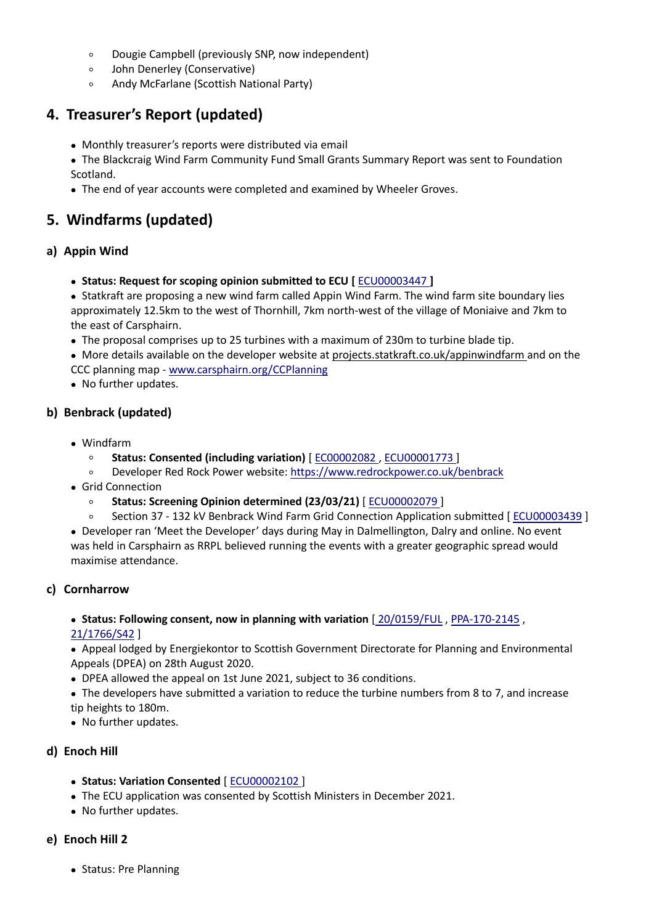- Dougie Campbell (previously SNP, now independent)
- John Denerley (Conservative)
- Andy McFarlane (Scottish National Party)

## **4. Treasurer's Report (updated)**

- Monthly treasurer's reports were distributed via email
- The Blackcraig Wind Farm Community Fund Small Grants Summary Report was sent to Foundation Scotland.
- The end of year accounts were completed and examined by Wheeler Groves.

## **5. Windfarms (updated)**

### **a) Appin Wind**

- **Status: Request for scoping opinion submitted to ECU [** [ECU00003447](http://www.energyconsents.scot/ApplicationDetails.aspx?cr=ECU00003447) **]**
- Statkraft are proposing a new wind farm called AppinWind Farm. The wind farm site boundary lies approximately 12.5km to the west of Thornhill, 7km north-west of the village of Moniaive and 7km to the east of Carsphairn.
- The proposal comprises up to 25 turbines with a maximum of 230m to turbine blade tip.

 More details available on the developer website at [projects.statkraft.co.uk/appinwindfarm](http://projects.statkraft.co.uk/appinwindfarm) and on the CCC planning map - [www.carsphairn.org/CCPlanning](http://www.carsphairn.org/CCPlanning)

• No further updates.

### **b) Benbrack (updated)**

- Windfarm
	- **Status: Consented (including variation)** [ [EC00002082](http://www.energyconsents.scot/ApplicationDetails.aspx?cr=EC00002082) , [ECU00001773](http://www.energyconsents.scot/ApplicationDetails.aspx?cr=ECU00001773) ]
	- Developer Red Rock Power website: <https://www.redrockpower.co.uk/benbrack>
- Grid Connection
	- **Status: Screening Opinion determined (23/03/21)** [ [ECU00002079](http://www.energyconsents.scot/ApplicationDetails.aspx?cr=ECU00002079) ]
	- Section 37 132 kV Benbrack Wind Farm Grid Connection Application submitted [ [ECU00003439](https://www.energyconsents.scot/ApplicationDetails.aspx?cr=ECU00003439) ]

 Developer ran 'Meet the Developer' days during May in Dalmellington, Dalry and online. No event was held in Carsphairn as RRPL believed running the events with a greater geographic spread would maximise attendance.

### **c) Cornharrow**

# **Status: Following consent, now in planning with variation** [ [20/0159/FUL](https://eaccess.dumgal.gov.uk/online-applications/applicationDetails.do?keyVal=Q4ZCPSGBFVQ00&activeTab=summary) , [PPA-170-2145](https://dpea.scotland.gov.uk/CaseDetails.aspx?ID=121159) ,

### [21/1766/S42](https://eaccess.dumgal.gov.uk/online-applications/applicationDetails.do?activeTab=summary&keyVal=QY52TJGBJIR00) ]

 Appeal lodged by Energiekontor to Scottish Government Directorate for Planning and Environmental Appeals (DPEA) on 28th August 2020.

DPEA allowed the appeal on 1st June 2021, subject to 36 conditions.

 The developers have submitted a variation to reduce the turbine numbers from 8 to 7, and increase tip heights to 180m.

• No further updates.

### **d) Enoch Hill**

- **Status: Variation Consented** [ [ECU00002102](http://www.energyconsents.scot/ApplicationDetails.aspx?cr=ECU00002102) ]
- The ECU application was consented by Scottish Ministers in December 2021.
- No further updates.

### **e) Enoch Hill 2**

• Status: Pre Planning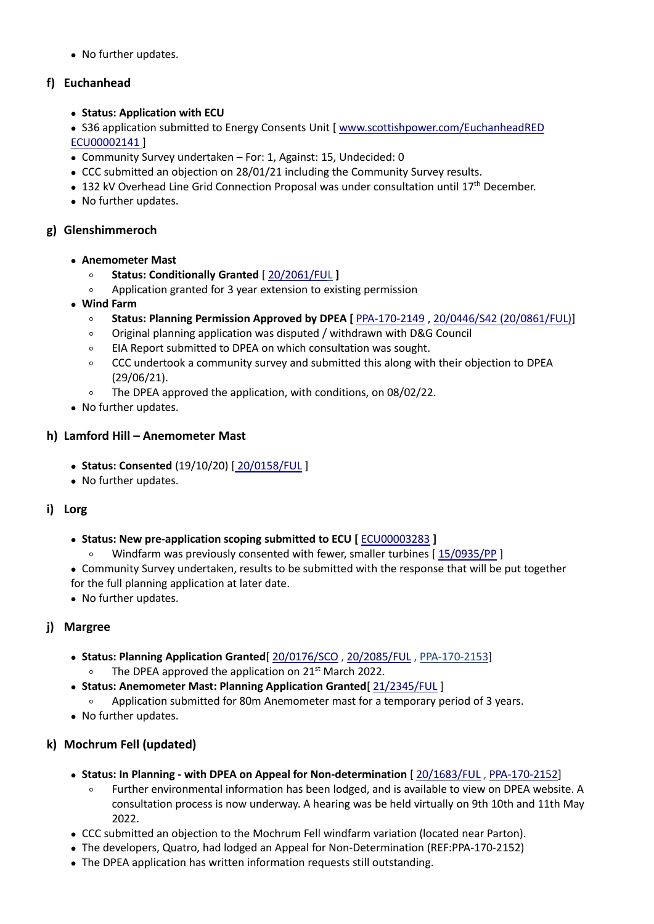• No further updates.

### **f) Euchanhead**

- **Status: Application with ECU**
- S36 application submitted to Energy Consents Unit [ [www.scottishpower.com/EuchanheadRED](http://www.scottishpower.com/EuchanheadRED) [ECU00002141](http://www.energyconsents.scot/ApplicationDetails.aspx?cr=ECU00002141) ]
- Community Survey undertaken For: 1, Against: 15, Undecided: 0
- CCC submitted an objection on 28/01/21 including the Community Survey results.
- 132 kV Overhead Line Grid Connection Proposal was under consultation until 17<sup>th</sup> December.
- No further updates.

### **g) Glenshimmeroch**

- **Anemometer Mast**
	- **Status: Conditionally Granted** [ [20/2061/FUL](https://eaccess.dumgal.gov.uk/online-applications/applicationDetails.do?activeTab=summary&keyVal=QKNCPSGBHQ700) **]**
	- Application granted for 3 year extension to existing permission
- **Wind Farm**
	- **Status: Planning Permission Approved byDPEA [** [PPA-170-2149](https://www.dpea.scotland.gov.uk/CaseDetails.aspx?id=121370) , 20/0446/S42 [\(20/0861/FUL\)\]](https://eaccess.dumgal.gov.uk/online-applications/applicationDetails.do?activeTab=summary&keyVal=Q74S6BGBH5U00)
	- Original planning application was disputed / withdrawn with D&G Council
	- EIA Report submitted to DPEA on which consultation was sought.
	- CCC undertook a community survey and submitted this along with their objection to DPEA (29/06/21).
	- The DPEA approved the application, with conditions, on 08/02/22.
- No further updates.

### **h) Lamford Hill – Anemometer Mast**

- **Status: Consented** (19/10/20) [ [20/0158/FUL](https://eaccess.dumgal.gov.uk/online-applications/applicationDetails.do?keyVal=Q4Z0HBGBFV500&activeTab=summary) ]
- No further updates.

### **i) Lorg**

- **Status: New pre-application scoping submitted to ECU [** [ECU00003283](http://www.energyconsents.scot/ApplicationDetails.aspx?cr=ECU00003283) **]**
	- Windfarm was previously consented with fewer, smaller turbines [ [15/0935/PP](https://eplanning.east-ayrshire.gov.uk/online/applicationDetails.do?activeTab=summary&keyVal=NYW4F0GFGG300) ]
- Community Survey undertaken, results to be submitted with the response that will be put together for the full planning application at later date.
- No further updates.

## **j) Margree**

- **Status: Planning Application Granted**[ [20/0176/SCO](https://eaccess.dumgal.gov.uk/online-applications/applicationDetails.do?activeTab=documents&keyVal=Q54VBMGB00A00) , [20/2085/FUL](https://eaccess.dumgal.gov.uk/online-applications/applicationDetails.do?activeTab=documents&keyVal=QKSWONGBHVB00) , [PPA-170-2153\]](https://dpea.scotland.gov.uk/CaseDetails.aspx?ID=121751) ○ The DPEA approved the application on 21<sup>st</sup> March 2022.
- **Status: Anemometer Mast: Planning Application Granted**[ [21/2345/FUL](https://eaccess.dumgal.gov.uk/online-applications/applicationDetails.do?activeTab=summary&keyVal=R2TLGEGBMHB00) ]
	- Application submitted for 80m Anemometer mast for a temporary period of 3 years.
- No further updates.

## **k) Mochrum Fell (updated)**

- **Status: In Planning -with DPEA on Appeal for Non-determination** [ [20/1683/FUL](https://eaccess.dumgal.gov.uk/online-applications/applicationDetails.do?activeTab=summary&keyVal=QHIS9OGBFOH00) , [PPA-170-2152](https://dpea.scotland.gov.uk/CaseDetails.aspx?ID=121722 )]
	- Further environmental information has been lodged, and is available to view on DPEA website. A consultation process is now underway. A hearing was be held virtually on 9th 10th and 11th May 2022.
- CCC submitted an objection to the Mochrum Fell windfarm variation (located near Parton).
- The developers, Quatro, had lodged an Appeal for Non-Determination (REF:PPA-170-2152)
- The DPEA application has written information requests still outstanding.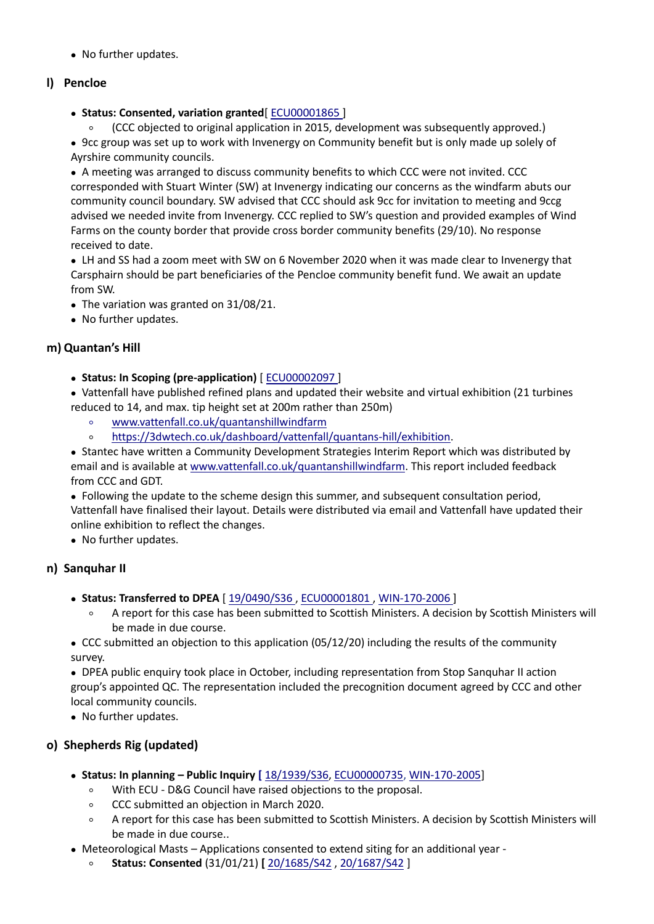• No further updates.

### **l) Pencloe**

**Status: Consented, variation granted**[ [ECU00001865](http://www.energyconsents.scot/ApplicationDetails.aspx?cr=ECU00001865) ]

○ (CCC objected to original application in 2015, development was subsequently approved.)

 9cc group was set up to work with Invenergy on Community benefit but is only made up solely of Ayrshire community councils.

 A meeting was arranged to discuss community benefits to which CCC were notinvited. CCC corresponded with Stuart Winter (SW) at Invenergy indicating our concerns as the windfarm abuts our community council boundary. SW advised that CCC should ask 9cc forinvitation to meeting and 9ccg advised we needed invite from Invenergy. CCC replied to SW's question and provided examples of Wind Farms on the county border that provide cross border community benefits (29/10). No response received to date.

• LH and SS had a zoom meet with SW on 6 November 2020 when it was made clear to Invenergy that Carsphairn should be part beneficiaries of the Pencloe community benefit fund. We await an update from SW.

• The variation was granted on 31/08/21.

• No further updates.

### **m) Quantan's Hill**

**Status: In Scoping (pre-application)** [ [ECU00002097](http://www.energyconsents.scot/ApplicationDetails.aspx?cr=ECU00002097) ]

 Vattenfall have published refined plans and updated their website and virtual exhibition (21 turbines reduced to 14, and max. tip height set at 200m rather than 250m)

- [www.vattenfall.co.uk/quantanshillwindfarm](http://www.vattenfall.co.uk/quantanshillwindfarm)
- <https://3dwtech.co.uk/dashboard/vattenfall/quantans-hill/exhibition>.

 Stantec have written a Community Development Strategies Interim Report which was distributed by email and is available at [www.vattenfall.co.uk/quantanshillwindfarm](http://www.vattenfall.co.uk/quantanshillwindfarm). This report included feedback from CCC and GDT.

 Following the update to the scheme design this summer, and subsequent consultation period, Vattenfall have finalised their layout. Details were distributed via email and Vattenfall have updated their online exhibition to reflect the changes.

• No further updates.

### **n) Sanquhar II**

- **Status: Transferred to DPEA** [ [19/0490/S36](https://eaccess.dumgal.gov.uk/online-applications/applicationDetails.do?activeTab=summary&keyVal=PP16U4GB00A00) , [ECU00001801](http://www.energyconsents.scot/ApplicationDetails.aspx?cr=ECU00001801) , [WIN-170-2006](http://dpea.scotland.gov.uk/CaseDetails.aspx?id=121337&T=3) ]
	- A report for this case has been submitted to Scottish Ministers. A decision by Scottish Ministers will be made in due course.

 CCC submitted an objection to this application (05/12/20) including the results of the community survey.

 DPEA public enquiry took place in October, including representation from Stop Sanquhar II action group's appointed QC. The representation included the precognition document agreed by CCC and other local community councils.

• No further updates.

### **o) Shepherds Rig (updated)**

- **Status: In planning – Public Inquiry [** [18/1939/S36](https://eaccess.dumgal.gov.uk/online-applications/applicationDetails.do?activeTab=documents&keyVal=PK1BNQGB00A00), [ECU00000735](https://www.energyconsents.scot/ApplicationDetails.aspx?cr=ECU00000735), [WIN-170-2005](http://www.dpea.scotland.gov.uk/CaseDetails.aspx?ID=121226)]
	- With ECU D&G Council have raised objections to the proposal.
	- CCC submitted an objection in March 2020.
	- A report for this case has been submitted to Scottish Ministers. A decision by Scottish Ministers will be made in due course..
- Meteorological Masts Applications consented to extend siting for an additional year
	- **Status: Consented** (31/01/21) **[** [20/1685/S42](https://eaccess.dumgal.gov.uk/online-applications/applicationDetails.do?activeTab=summary&keyVal=QHJ4Q2GBFOX00) , [20/1687/S42](https://eaccess.dumgal.gov.uk/online-applications/centralDistribution.do?caseType=Application&keyVal=QHJ4Q8GBFP300) ]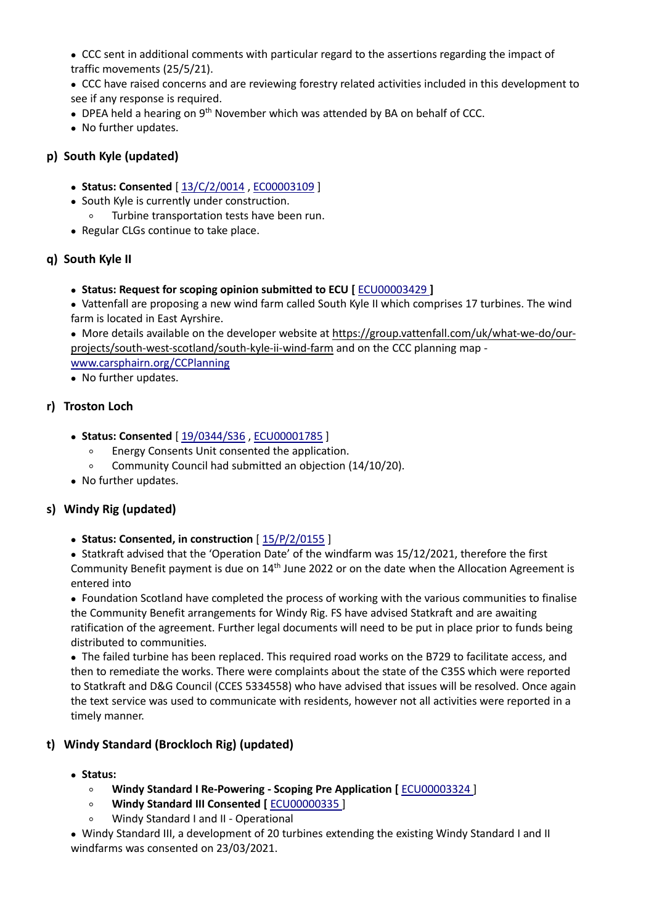CCC sent in additional comments with particular regard to the assertions regarding the impact of traffic movements (25/5/21).

 CCC have raised concerns and are reviewing forestry related activities included in this development to see if any response is required.

- DPEA held a hearing on 9<sup>th</sup> November which was attended by BA on behalf of CCC.
- No further updates.

### **p) South Kyle (updated)**

- **Status: Consented** [ [13/C/2/0014](https://eaccess.dumgal.gov.uk/online-applications/applicationDetails.do?keyVal=ZZZW6OGBTA592&activeTab=summary) , [EC00003109](http://www.energyconsents.scot/ApplicationDetails.aspx?cr=EC00003109) ]
- South Kyle is currently under construction.
	- Turbine transportation tests have been run.
- Regular CLGs continue to take place.

#### **q) South Kyle II**

**Status: Request for scoping opinion submitted to ECU [** [ECU00003429](http://www.energyconsents.scot/ApplicationDetails.aspx?cr=ECU00003429) **]**

• Vattenfall are proposing a new wind farm called South Kyle II which comprises 17 turbines. The wind farm is located in East Ayrshire.

 More details available on the developer website at [https://group.vattenfall.com/uk/what-we-do/our](https://group.vattenfall.com/uk/what-we-do/our-projects/south-west-scotland/south-kyle-ii-wind-farm) projects/south-west-scotland/south-kyle-ii-wind-farm and on the CCC planning map -

[www.carsphairn.org/CCPlanning](http://www.carsphairn.org/CCPlanning)

• No further updates.

#### **r) Troston Loch**

- **Status: Consented** [ [19/0344/S36](https://eaccess.dumgal.gov.uk/online-applications/applicationDetails.do?keyVal=PNWLDGGB00A00&activeTab=summary) , [ECU00001785](http://www.energyconsents.scot/ApplicationDetails.aspx?cr=ECU00001785) ]
	- Energy Consents Unit consented the application.
	- Community Council had submitted an objection (14/10/20).
- No further updates.

### **s) Windy Rig (updated)**

#### **Status: Consented, in construction** [ [15/P/2/0155](https://eaccess.dumgal.gov.uk/online-applications/applicationDetails.do?keyVal=ZZZW6IGBTA826&activeTab=summary) ]

 Statkraft advised that the 'Operation Date' of the windfarm was 15/12/2021, therefore the first Community Benefit payment is due on 14<sup>th</sup> June 2022 or on the date when the Allocation Agreement is entered into

 Foundation Scotland have completed the process of working with the various communities to finalise the Community Benefit arrangements for Windy Rig. FS have advised Statkraft and are awaiting ratification of the agreement. Further legal documents will need to be put in place prior to funds being distributed to communities.

 The failed turbine has been replaced. This required road works on the B729 to facilitate access, and then to remediate the works. There were complaints about the state of the C35S which were reported to Statkraft and D&G Council (CCES 5334558) who have advised that issues will be resolved. Once again the text service was used to communicate with residents, however not all activities were reported in a timely manner.

### **t) Windy Standard (Brockloch Rig) (updated)**

- **Status:**
	- **Windy Standard I Re-Powering - Scoping Pre Application [** [ECU00003324](https://www.energyconsents.scot/ApplicationDetails.aspx?cr=ECU00003324) ]
	- **Windy Standard III Consented [** [ECU00000335](https://www.energyconsents.scot/ApplicationDetails.aspx?cr=ECU00000335) ]
	- Windy Standard I and II Operational

 Windy Standard III, a development of 20 turbines extending the existing Windy Standard I and II windfarms was consented on 23/03/2021.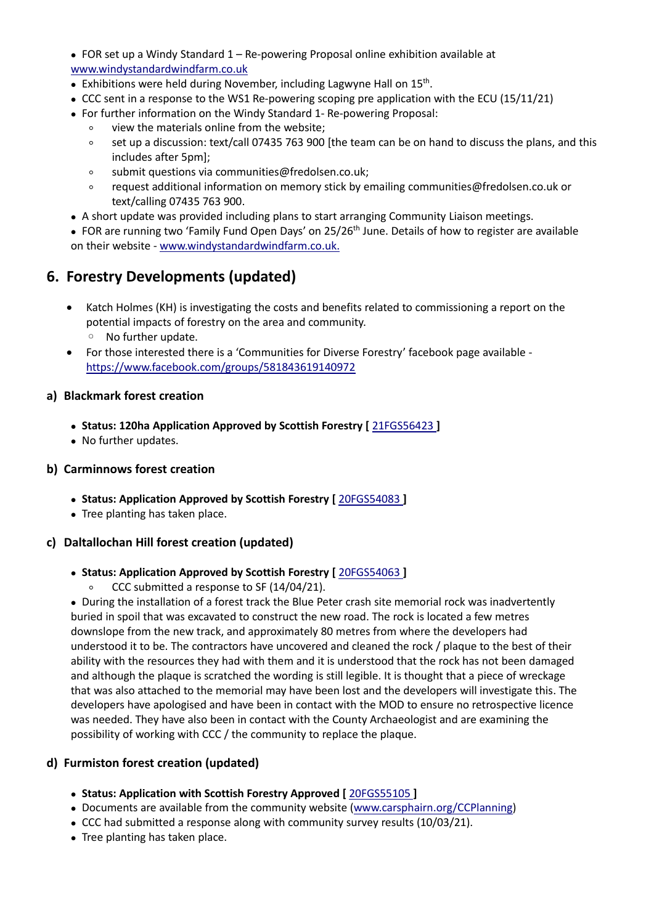FOR set up a Windy Standard 1 – Re-powering Proposal online exhibition available at [www.windystandardwindfarm.co.uk](http://www.windystandardwindfarm.co.uk/)

- Exhibitions were held during November, including Lagwyne Hall on 15<sup>th</sup>. .
- CCC sent in a response to the WS1 Re-powering scoping pre application with the ECU (15/11/21)
- For further information on the Windy Standard 1- Re-powering Proposal:
	- view the materials online from the website;
	- set up a discussion: text/call 07435 763 900 [the team can be on hand to discuss the plans, and this includes after 5pm];
	- submit questions via communities@fredolsen.co.uk;
	- request additional information on memory stick by emailing communities@fredolsen.co.uk or text/calling 07435 763 900.
- A short update was provided including plans to start arranging Community Liaison meetings.

■ FOR are running two 'Family Fund Open Days' on 25/26<sup>th</sup> June. Details of how to register are available on their website - [www.windystandardwindfarm.co.uk.](http://www.windystandardwindfarm.co.uk/)

## **6. Forestry Developments (updated)**

- Katch Holmes (KH) is investigating the costs and benefits related to commissioning a report on the potential impacts of forestry on the area and community.
	- No further update.
- For those interested there is a 'Communities for Diverse Forestry' facebook page available <https://www.facebook.com/groups/581843619140972>

#### **a) Blackmark forest creation**

- **Status: 120ha Application Approved byScottish Forestry [** [21FGS56423](https://casebook.forestry.scot/w/webpage/805BECBF1?context_record_id=19252541&webpage_token=73352a2f512277713e864bab3a5e94870d21c81badb2669fc87ee63e0c3bd1da) **]**
- No further updates.

#### **b) Carminnows forest creation**

- **Status: Application Approved by Scottish Forestry [** [20FGS54083](https://casebook.forestry.scot/w/webpage/805BECBF1?context_record_id=11819919&webpage_token=fd6b343046c423b03e154e829d3ab69e0e9b60213cf7956edcb1abe7cda33938) **]**
- Tree planting has taken place.

#### **c) Daltallochan Hill forest creation (updated)**

#### **Status: Application Approved by Scottish Forestry [** [20FGS54063](https://casebook.forestry.scot/w/webpage/805BECBF1?context_record_id=11819463&webpage_token=58f0ebee066c30c9be805ac20ba51c26ee96f2fac2d0500b6123c7dd36dda625) **]**

○ CCC submitted a response to SF (14/04/21).

 During the installation of a forest track the Blue Peter crash site memorial rock was inadvertently buried in spoil that was excavated to construct the new road. The rock is located a few metres downslope from the new track, and approximately 80 metres from where the developers had understood it to be. The contractors have uncovered and cleaned the rock / plaque to the best of their ability with the resources they had with them and it is understood that the rock has not been damaged and although the plaque is scratched the wording is still legible. It is thought that a piece of wreckage that was also attached to the memorial may have been lost and the developers will investigate this. The developers have apologised and have been in contact with the MOD to ensure no retrospective licence was needed. They have also been in contact with the County Archaeologist and are examining the possibility of working with CCC / the community to replace the plaque.

#### **d) Furmiston forest creation (updated)**

- **Status: Application with Scottish Forestry Approved [** [20FGS55105](https://casebook.forestry.scot/w/webpage/805BECBF1?context_record_id=14356101&webpage_token=bd11fe8c312ca3989b3653218fb50eeaf782312c3cd0c1e0bc3e5291a6b2f42a) **]**
- Documents are available from the community website [\(www.carsphairn.org/CCPlanning\)](http://www.carsphairn.org/CCPlanning)
- CCC had submitted a response along with community survey results (10/03/21).
- Tree planting has taken place.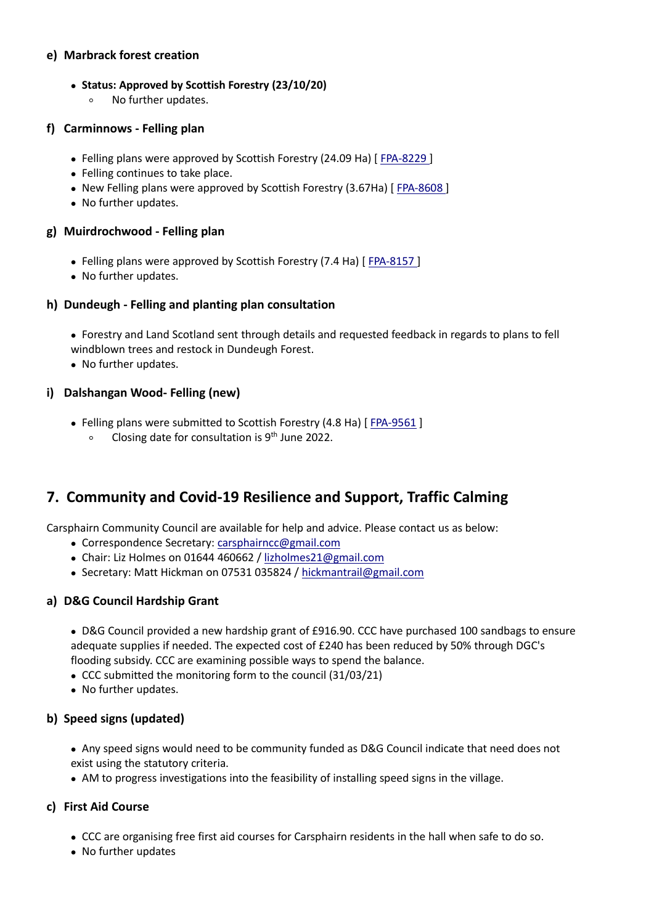#### **e) Marbrack forest creation**

#### **Status: Approved byScottish Forestry (23/10/20)**

○ No further updates.

#### **f) Carminnows - Felling plan**

- Felling plans were approved by Scottish Forestry (24.09 Ha) [ [FPA-8229](https://casebook.forestry.scot/w/webpage/805BECBF1?context_record_id=22300621&webpage_token=f166cb1fd1e35f62b114e773755ea029e4d69135fbfeb5c581e0a8d6174a505e) ]
- Felling continues to take place.
- New Felling plans were approved by Scottish Forestry (3.67Ha) [ [FPA-8608](https://casebook.forestry.scot/w/webpage/805BECBF1?context_record_id=22862583&webpage_token=4cbcd4a5dae36cf07b73effc851300b9581482ca006198c4d13ba70e3932f91c) ]
- No further updates.

#### **g) Muirdrochwood - Felling plan**

- Felling plans were approved by Scottish Forestry (7.4 Ha) [[FPA-8157](https://casebook.forestry.scot/w/webpage/805BECBF1?context_record_id=22193891&webpage_token=b716c103ca77e4dd94b9c145015e4def1cf24dc74a97ac05266d47dfc613dfd7)]
- No further updates.

#### **h) Dundeugh - Felling and planting plan consultation**

 Forestry and Land Scotland sent through details and requested feedback in regards to plans to fell windblown trees and restock in Dundeugh Forest.

• No further updates.

#### **i) Dalshangan Wood- Felling (new)**

- Felling plans were submitted to Scottish Forestry (4.8 Ha) [ [FPA-9561](https://casebook.forestry.scot/w/webpage/805BECBF1?context_record_id=23492739&webpage_token=77e37d3a061b7ee3fbf0196149563e100472ab5cd55878abe6c71570d12de7a6) ]
	- Closing date for consultation is 9<sup>th</sup> June 2022.

## **7. Community and Covid-19 Resilience and Support, Traffic Calming**

Carsphairn Community Council are available for help and advice. Please contact us as below:

- Correspondence Secretary: [carsphairncc@gmail.com](mailto:carsphairncc@gmail.com)
- Chair: Liz Holmes on 01644 460662 / [lizholmes21@gmail.com](mailto:lizholmes21@gmail.com)
- Secretary: Matt Hickman on 07531 035824 / [hickmantrail@gmail.com](mailto:hickmantrail@gmail.com)

### **a) D&G Council Hardship Grant**

 D&G Council provided a new hardship grant of £916.90. CCC have purchased 100 sandbags to ensure adequate supplies if needed. The expected cost of £240 has been reduced by 50% through DGC's flooding subsidy. CCC are examining possible ways to spend the balance.

- CCC submitted the monitoring form to the council (31/03/21)
- No further updates.

### **b) Speed signs (updated)**

- Any speed signs would need to be community funded as D&G Council indicate that need does not exist using the statutory criteria.
- AM to progress investigations into the feasibility of installing speed signs in the village.

### **c) First Aid Course**

- CCC are organising free first aid courses for Carsphairn residents in the hall when safe to do so.
- No further updates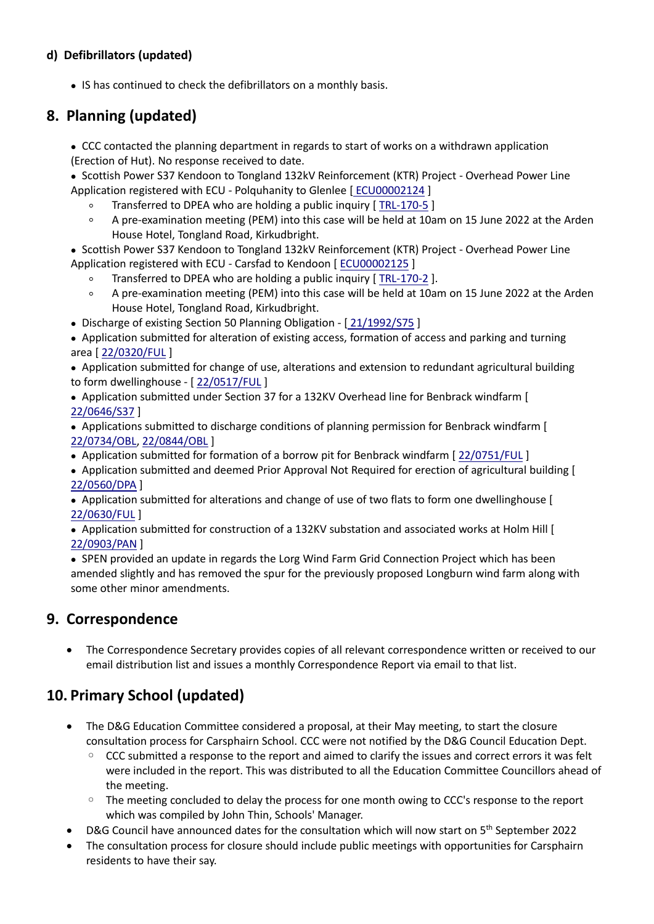## **d) Defibrillators (updated)**

• IS has continued to check the defibrillators on a monthly basis.

## **8. Planning (updated)**

 CCC contacted the planning department in regards to start of works on a withdrawn application (Erection of Hut). No response received to date.

• Scottish Power S37 Kendoon to Tongland 132kV Reinforcement (KTR) Project - Overhead Power Line Application registered with ECU - Polquhanity to Glenlee [ [ECU00002124](http://www.energyconsents.scot/ApplicationDetails.aspx?cr=ECU00002124) ]

- Transferred to DPEA who are holding a public inquiry [ [TRL-170-5](https://www.dpea.scotland.gov.uk/CaseDetails.aspx?ID=122048) ]
- A pre-examination meeting (PEM) into this case will be held at 10am on 15 June 2022 at the Arden House Hotel, Tongland Road, Kirkudbright.

• Scottish Power S37 Kendoon to Tongland 132kV Reinforcement (KTR) Project - Overhead Power Line Application registered with ECU - Carsfad to Kendoon [ [ECU00002125](http://www.energyconsents.scot/ApplicationDetails.aspx?cr=ECU00002125) ]

- Transferred to DPEA who are holding a public inquiry [[TRL-170-2](https://www.dpea.scotland.gov.uk/CaseDetails.aspx?id=122045 )].
- A pre-examination meeting (PEM) into this case will be held at 10am on 15 June 2022 at the Arden House Hotel, Tongland Road, Kirkudbright.
- Discharge of existing Section 50 Planning Obligation [[21/1992/S75](https://eaccess.dumgal.gov.uk/online-applications/applicationDetails.do?keyVal=R03G20GB00O00&activeTab=summary) ]

 Application submitted for alteration of existing access, formation of access and parking and turning area [ [22/0320/FUL](https://eaccess.dumgal.gov.uk/online-applications/applicationDetails.do?activeTab=summary&keyVal=R87QCBGBI6I00) ]

 Application submitted for change of use, alterations and extension to redundant agricultural building to form dwellinghouse - [ [22/0517/FUL](https://eaccess.dumgal.gov.uk/online-applications/applicationDetails.do?activeTab=summary&keyVal=R9AMDGGBJ3I00) ]

 Application submitted under Section 37 for a 132KV Overhead line for Benbrack windfarm [ [22/0646/S37](https://eaccess.dumgal.gov.uk/online-applications/centralDistribution.do?caseType=Application&keyVal=RA62VKGB02600) ]

 Applications submitted to discharge conditions of planning permission for Benbrack windfarm [ [22/0734/OBL](https://eaccess.dumgal.gov.uk/online-applications/centralDistribution.do?caseType=Application&keyVal=RAWGH1GB00700), [22/0844/OBL](https://eaccess.dumgal.gov.uk/online-applications/centralDistribution.do?caseType=Application&keyVal=RBRHZ8GB05R00) ]

Application submitted for formation of a borrow pit for Benbrack windfarm [ [22/0751/FUL](https://eaccess.dumgal.gov.uk/online-applications/applicationDetails.do?activeTab=summary&keyVal=RAZYP7GBKD800) ]

 Application submitted and deemed Prior Approval Not Required for erection of agricultural building [ [22/0560/DPA](https://eaccess.dumgal.gov.uk/online-applications/centralDistribution.do?caseType=Application&keyVal=R9KCDDGBJBH00) ]

• Application submitted for alterations and change of use of two flats to form one dwellinghouse [ [22/0630/FUL](https://eaccess.dumgal.gov.uk/online-applications/centralDistribution.do?caseType=Application&keyVal=R9YM8GGBJNW00) ]

• Application submitted for construction of a 132KV substation and associated works at Holm Hill [ [22/0903/PAN](https://eaccess.dumgal.gov.uk/online-applications/centralDistribution.do?caseType=Application&keyVal=RC0VWVGB01Q00) ]

 SPEN provided an update in regards the Lorg Wind Farm Grid Connection Project which has been amended slightly and has removed the spur for the previously proposed Longburn wind farm along with some other minor amendments.

## **9. Correspondence**

 The Correspondence Secretary provides copies of all relevant correspondence written or received to our email distribution list and issues a monthly Correspondence Report via email to that list.

## **10. Primary School (updated)**

- The D&G Education Committee considered a proposal, at their May meeting, to start the closure consultation process for Carsphairn School. CCC were not notified by the D&G Council Education Dept.
	- CCC submitted a response to the report and aimed to clarify the issues and correct errors it was felt were included in the report. This was distributed to all the Education Committee Councillors ahead of the meeting.
	- The meeting concluded to delay the process for one month owing to CCC's response to the report which was compiled by John Thin, Schools' Manager.
- D&G Council have announced dates for the consultation which will now start on 5<sup>th</sup> September 2022
- The consultation process for closure should include public meetings with opportunities for Carsphairn residents to have their say.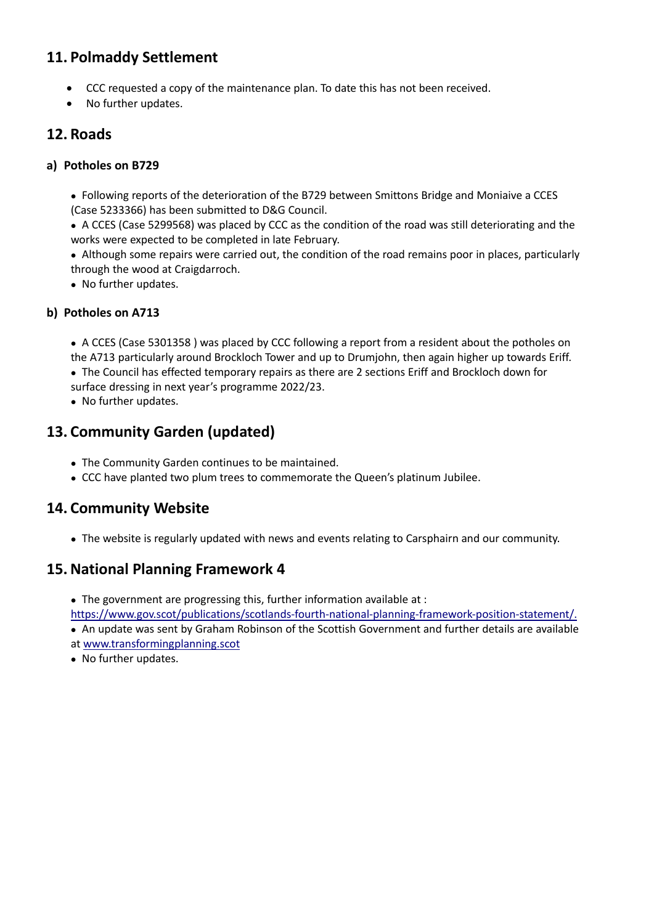## **11. Polmaddy Settlement**

- CCC requested a copy of the maintenance plan. To date this has not been received.
- No further updates.

## **12. Roads**

### **a) Potholes on B729**

 Following reports of the deterioration of the B729 between Smittons Bridge and Moniaive a CCES (Case 5233366) has been submitted to D&G Council.

 A CCES(Case 5299568) was placed by CCC as the condition of the road was still deteriorating and the works were expected to be completed in late February.

 Although some repairs were carried out, the condition of the road remains poor in places, particularly through the wood at Craigdarroch.

• No further updates.

### **b) Potholes on A713**

• A CCES (Case 5301358 ) was placed by CCC following a report from a resident about the potholes on the A713 particularly around Brockloch Tower and up to Drumjohn, then again higher up towards Eriff.

 The Council has effected temporary repairs as there are 2 sections Eriff and Brockloch down for surface dressing in next year's programme 2022/23.

• No further updates.

## **13. Community Garden (updated)**

- The Community Garden continues to be maintained.
- CCC have planted two plum trees to commemorate the Queen's platinum Jubilee.

## **14. Community Website**

• The website is regularly updated with news and events relating to Carsphairn and our community.

## **15. National Planning Framework 4**

- The government are progressing this, further information available at :
- <https://www.gov.scot/publications/scotlands-fourth-national-planning-framework-position-statement/.>
- An update was sent by Graham Robinson of the Scottish Government and further details are available at [www.transformingplanning.scot](http://www.transformingplanning.scot)

• No further updates.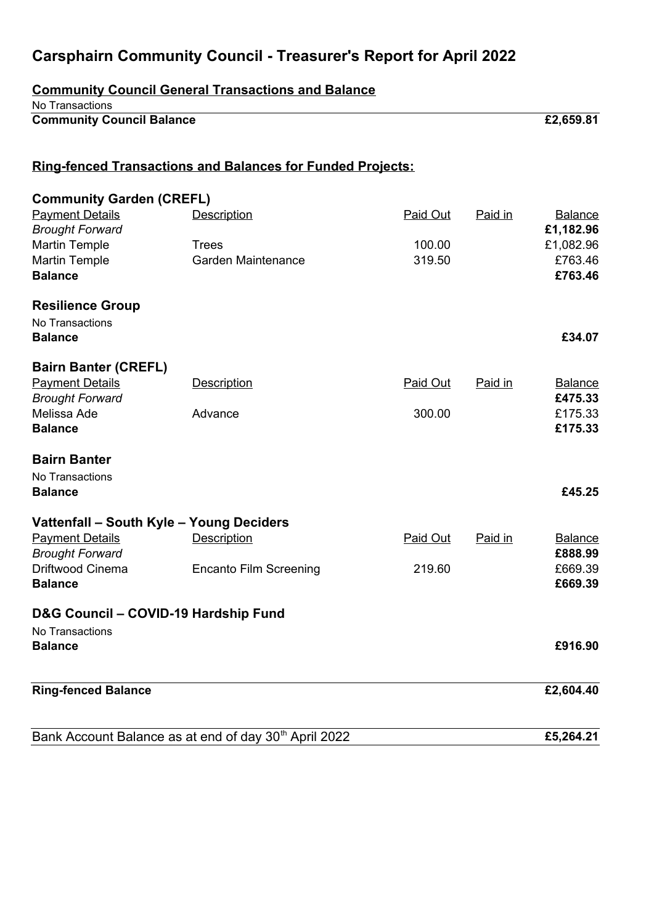# **Carsphairn Community Council - Treasurer's Report for April 2022**

| <b>Community Council General Transactions and Balance</b> |                                                                   |          |         |                             |  |  |  |
|-----------------------------------------------------------|-------------------------------------------------------------------|----------|---------|-----------------------------|--|--|--|
| No Transactions<br><b>Community Council Balance</b>       |                                                                   |          |         | £2,659.81                   |  |  |  |
|                                                           | <b>Ring-fenced Transactions and Balances for Funded Projects:</b> |          |         |                             |  |  |  |
|                                                           |                                                                   |          |         |                             |  |  |  |
| <b>Community Garden (CREFL)</b>                           |                                                                   |          |         |                             |  |  |  |
| <b>Payment Details</b><br><b>Brought Forward</b>          | <b>Description</b>                                                | Paid Out | Paid in | <b>Balance</b><br>£1,182.96 |  |  |  |
| <b>Martin Temple</b>                                      | <b>Trees</b>                                                      | 100.00   |         | £1,082.96                   |  |  |  |
| <b>Martin Temple</b><br><b>Balance</b>                    | <b>Garden Maintenance</b>                                         | 319.50   |         | £763.46<br>£763.46          |  |  |  |
| <b>Resilience Group</b>                                   |                                                                   |          |         |                             |  |  |  |
| No Transactions<br><b>Balance</b>                         |                                                                   |          |         | £34.07                      |  |  |  |
| <b>Bairn Banter (CREFL)</b>                               |                                                                   |          |         |                             |  |  |  |
| <b>Payment Details</b><br><b>Brought Forward</b>          | <b>Description</b>                                                | Paid Out | Paid in | <b>Balance</b><br>£475.33   |  |  |  |
| Melissa Ade<br><b>Balance</b>                             | Advance                                                           | 300.00   |         | £175.33<br>£175.33          |  |  |  |
| <b>Bairn Banter</b>                                       |                                                                   |          |         |                             |  |  |  |
| No Transactions<br><b>Balance</b>                         |                                                                   |          |         | £45.25                      |  |  |  |
| Vattenfall - South Kyle - Young Deciders                  |                                                                   |          |         |                             |  |  |  |
| <b>Payment Details</b><br><b>Brought Forward</b>          | <b>Description</b>                                                | Paid Out | Paid in | <b>Balance</b><br>£888.99   |  |  |  |
| <b>Driftwood Cinema</b><br><b>Balance</b>                 | <b>Encanto Film Screening</b>                                     | 219.60   |         | £669.39<br>£669.39          |  |  |  |
| D&G Council - COVID-19 Hardship Fund                      |                                                                   |          |         |                             |  |  |  |
| No Transactions                                           |                                                                   |          |         |                             |  |  |  |
| <b>Balance</b>                                            |                                                                   |          |         | £916.90                     |  |  |  |
| <b>Ring-fenced Balance</b>                                |                                                                   |          |         | £2,604.40                   |  |  |  |
|                                                           | Bank Account Balance as at end of day 30 <sup>th</sup> April 2022 |          |         | £5,264.21                   |  |  |  |